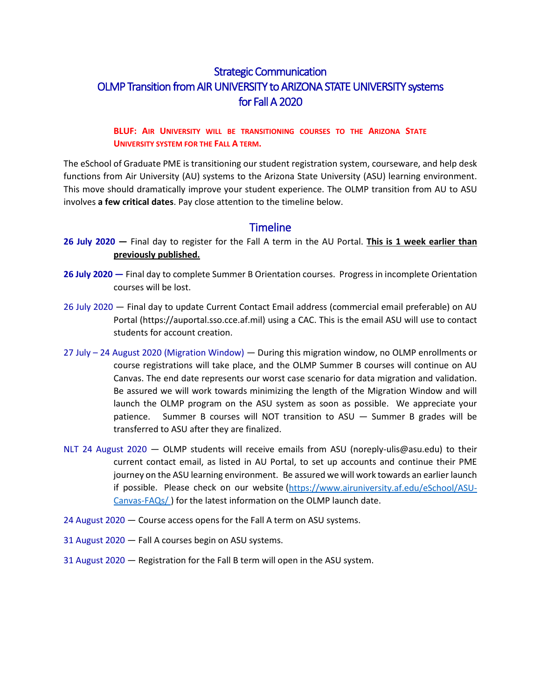# Strategic Communication OLMP Transition from AIR UNIVERSITY to ARIZONA STATE UNIVERSITY systems for Fall A 2020

#### **BLUF: AIR UNIVERSITY WILL BE TRANSITIONING COURSES TO THE ARIZONA STATE UNIVERSITY SYSTEM FOR THE FALL A TERM.**

The eSchool of Graduate PME is transitioning our student registration system, courseware, and help desk functions from Air University (AU) systems to the Arizona State University (ASU) learning environment. This move should dramatically improve your student experience. The OLMP transition from AU to ASU involves **a few critical dates**. Pay close attention to the timeline below.

### **Timeline**

- **26 July 2020 —** Final day to register for the Fall A term in the AU Portal. **This is 1 week earlier than previously published.**
- **26 July 2020 —** Final day to complete Summer B Orientation courses. Progress in incomplete Orientation courses will be lost.
- 26 July 2020 Final day to update Current Contact Email address (commercial email preferable) on AU Portal (https://auportal.sso.cce.af.mil) using a CAC. This is the email ASU will use to contact students for account creation.
- 27 July 24 August 2020 (Migration Window) During this migration window, no OLMP enrollments or course registrations will take place, and the OLMP Summer B courses will continue on AU Canvas. The end date represents our worst case scenario for data migration and validation. Be assured we will work towards minimizing the length of the Migration Window and will launch the OLMP program on the ASU system as soon as possible. We appreciate your patience. Summer B courses will NOT transition to ASU — Summer B grades will be transferred to ASU after they are finalized.
- NLT 24 August 2020 OLMP students will receive emails from ASU (noreply-ulis@asu.edu) to their current contact email, as listed in AU Portal, to set up accounts and continue their PME journey on the ASU learning environment. Be assured we will work towards an earlier launch if possible. Please check on our website [\(https://www.airuniversity.af.edu/eSchool/ASU-](https://www.airuniversity.af.edu/eSchool/ASU-Canvas-FAQs/)[Canvas-FAQs/](https://www.airuniversity.af.edu/eSchool/ASU-Canvas-FAQs/) ) for the latest information on the OLMP launch date.
- 24 August 2020 Course access opens for the Fall A term on ASU systems.
- 31 August 2020 Fall A courses begin on ASU systems.
- 31 August 2020 Registration for the Fall B term will open in the ASU system.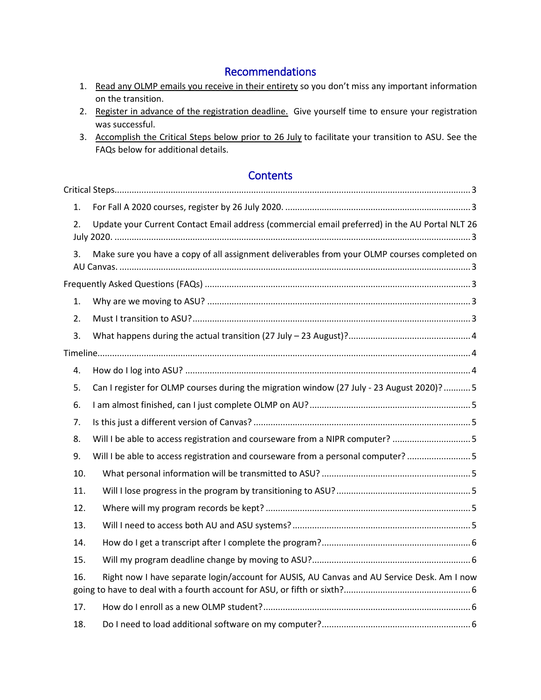# Recommendations

- 1. Read any OLMP emails you receive in their entirety so you don't miss any important information on the transition.
- 2. Register in advance of the registration deadline. Give yourself time to ensure your registration was successful.
- 3. Accomplish the Critical Steps below prior to 26 July to facilitate your transition to ASU. See the FAQs below for additional details.

# **Contents**

| 1.  |                                                                                                |
|-----|------------------------------------------------------------------------------------------------|
| 2.  | Update your Current Contact Email address (commercial email preferred) in the AU Portal NLT 26 |
| 3.  | Make sure you have a copy of all assignment deliverables from your OLMP courses completed on   |
|     |                                                                                                |
| 1.  |                                                                                                |
| 2.  |                                                                                                |
| 3.  |                                                                                                |
|     |                                                                                                |
| 4.  |                                                                                                |
| 5.  | Can I register for OLMP courses during the migration window (27 July - 23 August 2020)?  5     |
| 6.  |                                                                                                |
| 7.  |                                                                                                |
| 8.  | Will I be able to access registration and courseware from a NIPR computer? 5                   |
| 9.  | Will I be able to access registration and courseware from a personal computer?  5              |
| 10. |                                                                                                |
| 11. |                                                                                                |
| 12. |                                                                                                |
| 13. |                                                                                                |
| 14. |                                                                                                |
| 15. |                                                                                                |
| 16. | Right now I have separate login/account for AUSIS, AU Canvas and AU Service Desk. Am I now     |
| 17. |                                                                                                |
| 18. |                                                                                                |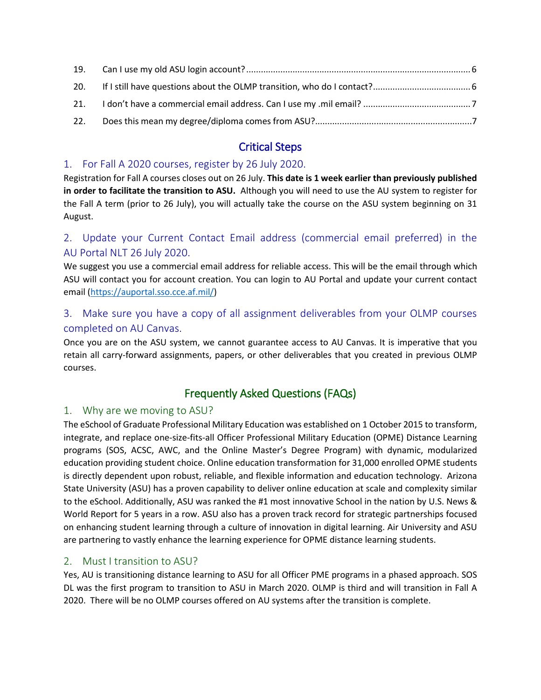| 22. |  |
|-----|--|

# Critical Steps

### <span id="page-2-1"></span><span id="page-2-0"></span>1. For Fall A 2020 courses, register by 26 July 2020.

Registration for Fall A courses closes out on 26 July. **This date is 1 week earlier than previously published in order to facilitate the transition to ASU.** Although you will need to use the AU system to register for the Fall A term (prior to 26 July), you will actually take the course on the ASU system beginning on 31 August.

# <span id="page-2-2"></span>2. Update your Current Contact Email address (commercial email preferred) in the AU Portal NLT 26 July 2020.

We suggest you use a commercial email address for reliable access. This will be the email through which ASU will contact you for account creation. You can login to AU Portal and update your current contact email [\(https://auportal.sso.cce.af.mil/\)](https://auportal.sso.cce.af.mil/)

# <span id="page-2-3"></span>3. Make sure you have a copy of all assignment deliverables from your OLMP courses completed on AU Canvas.

Once you are on the ASU system, we cannot guarantee access to AU Canvas. It is imperative that you retain all carry-forward assignments, papers, or other deliverables that you created in previous OLMP courses.

# Frequently Asked Questions (FAQs)

# <span id="page-2-5"></span><span id="page-2-4"></span>1. Why are we moving to ASU?

The eSchool of Graduate Professional Military Education was established on 1 October 2015 to transform, integrate, and replace one-size-fits-all Officer Professional Military Education (OPME) Distance Learning programs (SOS, ACSC, AWC, and the Online Master's Degree Program) with dynamic, modularized education providing student choice. Online education transformation for 31,000 enrolled OPME students is directly dependent upon robust, reliable, and flexible information and education technology. Arizona State University (ASU) has a proven capability to deliver online education at scale and complexity similar to the eSchool. Additionally, ASU was ranked the #1 most innovative School in the nation by U.S. News & World Report for 5 years in a row. ASU also has a proven track record for strategic partnerships focused on enhancing student learning through a culture of innovation in digital learning. Air University and ASU are partnering to vastly enhance the learning experience for OPME distance learning students.

# <span id="page-2-6"></span>2. Must I transition to ASU?

Yes, AU is transitioning distance learning to ASU for all Officer PME programs in a phased approach. SOS DL was the first program to transition to ASU in March 2020. OLMP is third and will transition in Fall A 2020. There will be no OLMP courses offered on AU systems after the transition is complete.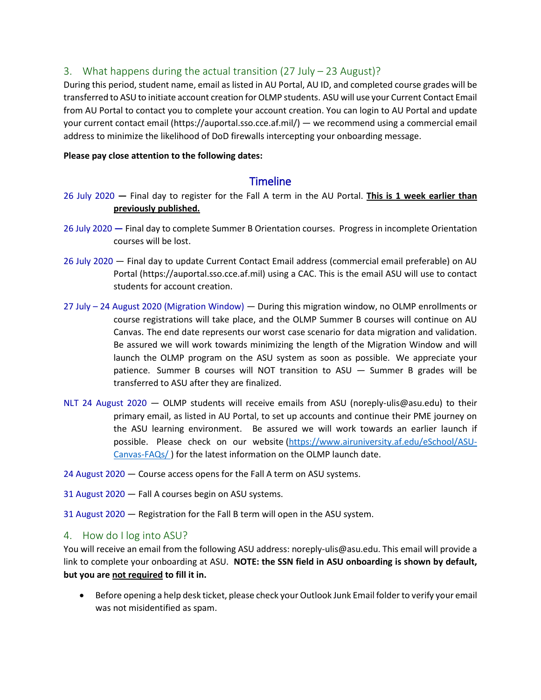### <span id="page-3-0"></span>3. What happens during the actual transition (27 July – 23 August)?

During this period, student name, email as listed in AU Portal, AU ID, and completed course grades will be transferred to ASU to initiate account creation for OLMP students. ASU will use your Current Contact Email from AU Portal to contact you to complete your account creation. You can login to AU Portal and update your current contact email (https://auportal.sso.cce.af.mil/) — we recommend using a commercial email address to minimize the likelihood of DoD firewalls intercepting your onboarding message.

#### <span id="page-3-1"></span>**Please pay close attention to the following dates:**

## **Timeline**

- 26 July 2020 **—** Final day to register for the Fall A term in the AU Portal. **This is 1 week earlier than previously published.**
- 26 July 2020 **—** Final day to complete Summer B Orientation courses. Progress in incomplete Orientation courses will be lost.
- 26 July 2020 Final day to update Current Contact Email address (commercial email preferable) on AU Portal (https://auportal.sso.cce.af.mil) using a CAC. This is the email ASU will use to contact students for account creation.
- 27 July 24 August 2020 (Migration Window) During this migration window, no OLMP enrollments or course registrations will take place, and the OLMP Summer B courses will continue on AU Canvas. The end date represents our worst case scenario for data migration and validation. Be assured we will work towards minimizing the length of the Migration Window and will launch the OLMP program on the ASU system as soon as possible. We appreciate your patience. Summer B courses will NOT transition to ASU — Summer B grades will be transferred to ASU after they are finalized.
- NLT 24 August 2020 OLMP students will receive emails from ASU (noreply-ulis@asu.edu) to their primary email, as listed in AU Portal, to set up accounts and continue their PME journey on the ASU learning environment. Be assured we will work towards an earlier launch if possible. Please check on our website [\(https://www.airuniversity.af.edu/eSchool/ASU-](https://www.airuniversity.af.edu/eSchool/ASU-Canvas-FAQs/)[Canvas-FAQs/](https://www.airuniversity.af.edu/eSchool/ASU-Canvas-FAQs/) ) for the latest information on the OLMP launch date.
- 24 August 2020 Course access opens for the Fall A term on ASU systems.
- 31 August 2020 Fall A courses begin on ASU systems.
- 31 August 2020 Registration for the Fall B term will open in the ASU system.

#### <span id="page-3-2"></span>4. How do I log into ASU?

You will receive an email from the following ASU address: noreply-ulis@asu.edu. This email will provide a link to complete your onboarding at ASU. **NOTE: the SSN field in ASU onboarding is shown by default, but you are not required to fill it in.**

• Before opening a help desk ticket, please check your Outlook Junk Email folder to verify your email was not misidentified as spam.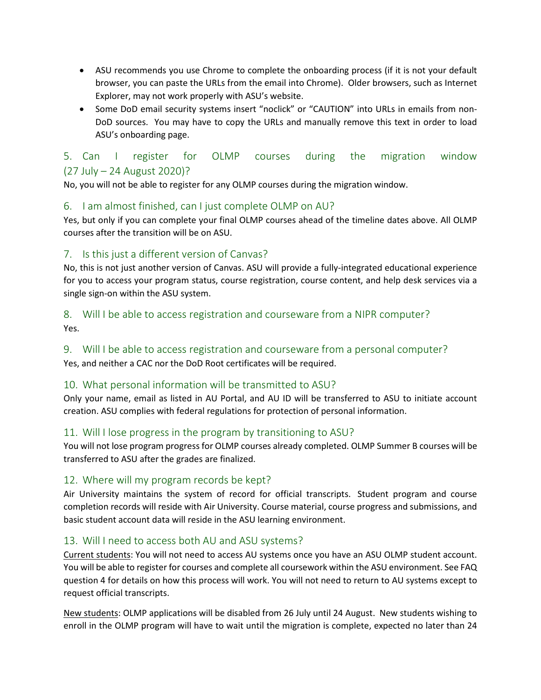- ASU recommends you use Chrome to complete the onboarding process (if it is not your default browser, you can paste the URLs from the email into Chrome). Older browsers, such as Internet Explorer, may not work properly with ASU's website.
- Some DoD email security systems insert "noclick" or "CAUTION" into URLs in emails from non-DoD sources. You may have to copy the URLs and manually remove this text in order to load ASU's onboarding page.

# <span id="page-4-0"></span>5. Can I register for OLMP courses during the migration window (27 July – 24 August 2020)?

No, you will not be able to register for any OLMP courses during the migration window.

#### <span id="page-4-1"></span>6. I am almost finished, can I just complete OLMP on AU?

Yes, but only if you can complete your final OLMP courses ahead of the timeline dates above. All OLMP courses after the transition will be on ASU.

# <span id="page-4-2"></span>7. Is this just a different version of Canvas?

No, this is not just another version of Canvas. ASU will provide a fully-integrated educational experience for you to access your program status, course registration, course content, and help desk services via a single sign-on within the ASU system.

### <span id="page-4-3"></span>8. Will I be able to access registration and courseware from a NIPR computer? Yes.

# <span id="page-4-4"></span>9. Will I be able to access registration and courseware from a personal computer?

Yes, and neither a CAC nor the DoD Root certificates will be required.

#### <span id="page-4-5"></span>10. What personal information will be transmitted to ASU?

Only your name, email as listed in AU Portal, and AU ID will be transferred to ASU to initiate account creation. ASU complies with federal regulations for protection of personal information.

# <span id="page-4-6"></span>11. Will I lose progress in the program by transitioning to ASU?

You will not lose program progress for OLMP courses already completed. OLMP Summer B courses will be transferred to ASU after the grades are finalized.

#### <span id="page-4-7"></span>12. Where will my program records be kept?

Air University maintains the system of record for official transcripts.  Student program and course completion records will reside with Air University. Course material, course progress and submissions, and basic student account data will reside in the ASU learning environment.

# <span id="page-4-8"></span>13. Will I need to access both AU and ASU systems?

Current students: You will not need to access AU systems once you have an ASU OLMP student account. You will be able to register for courses and complete all coursework within the ASU environment. See FAQ question 4 for details on how this process will work. You will not need to return to AU systems except to request official transcripts.

New students: OLMP applications will be disabled from 26 July until 24 August. New students wishing to enroll in the OLMP program will have to wait until the migration is complete, expected no later than 24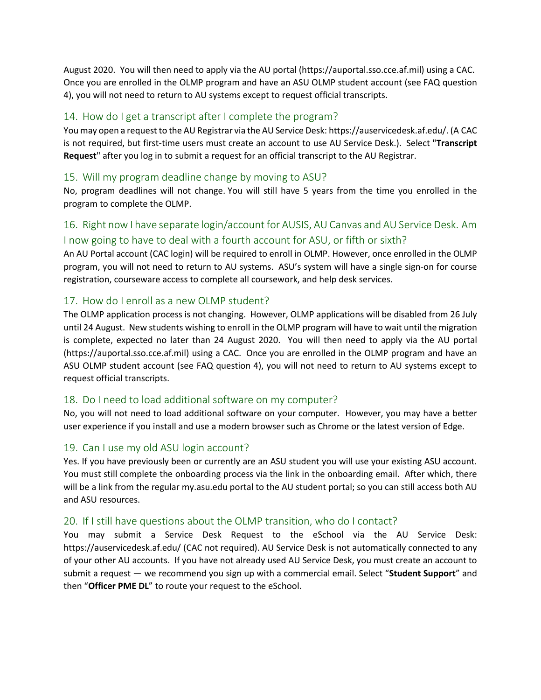August 2020. You will then need to apply via the AU portal (https://auportal.sso.cce.af.mil) using a CAC.  Once you are enrolled in the OLMP program and have an ASU OLMP student account (see FAQ question 4), you will not need to return to AU systems except to request official transcripts.

#### <span id="page-5-0"></span>14. How do I get a transcript after I complete the program?

You may open a request to the AU Registrar via the AU Service Desk: https://auservicedesk.af.edu/. (A CAC is not required, but first-time users must create an account to use AU Service Desk.). Select "**Transcript Request**" after you log in to submit a request for an official transcript to the AU Registrar.

#### <span id="page-5-1"></span>15. Will my program deadline change by moving to ASU?

No, program deadlines will not change. You will still have 5 years from the time you enrolled in the program to complete the OLMP.

# <span id="page-5-2"></span>16. Right now I have separate login/account for AUSIS, AU Canvas and AU Service Desk. Am I now going to have to deal with a fourth account for ASU, or fifth or sixth?

An AU Portal account (CAC login) will be required to enroll in OLMP. However, once enrolled in the OLMP program, you will not need to return to AU systems.  ASU's system will have a single sign-on for course registration, courseware access to complete all coursework, and help desk services.

#### <span id="page-5-3"></span>17. How do I enroll as a new OLMP student?

The OLMP application process is not changing. However, OLMP applications will be disabled from 26 July until 24 August. New students wishing to enroll in the OLMP program will have to wait until the migration is complete, expected no later than 24 August 2020. You will then need to apply via the AU portal (https://auportal.sso.cce.af.mil) using a CAC.  Once you are enrolled in the OLMP program and have an ASU OLMP student account (see FAQ question 4), you will not need to return to AU systems except to request official transcripts.

#### <span id="page-5-4"></span>18. Do I need to load additional software on my computer?

No, you will not need to load additional software on your computer. However, you may have a better user experience if you install and use a modern browser such as Chrome or the latest version of Edge.

#### <span id="page-5-5"></span>19. Can I use my old ASU login account?

Yes. If you have previously been or currently are an ASU student you will use your existing ASU account. You must still complete the onboarding process via the link in the onboarding email. After which, there will be a link from the regular my.asu.edu portal to the AU student portal; so you can still access both AU and ASU resources.

#### <span id="page-5-6"></span>20. If I still have questions about the OLMP transition, who do I contact?

You may submit a Service Desk Request to the eSchool via the AU Service Desk: https://auservicedesk.af.edu/ (CAC not required). AU Service Desk is not automatically connected to any of your other AU accounts. If you have not already used AU Service Desk, you must create an account to submit a request — we recommend you sign up with a commercial email. Select "**Student Support**" and then "**Officer PME DL**" to route your request to the eSchool.